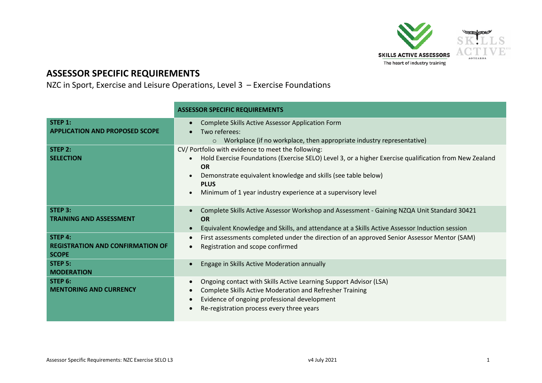

## **ASSESSOR SPECIFIC REQUIREMENTS**

NZC in Sport, Exercise and Leisure Operations, Level 3 – Exercise Foundations

|                                                  | <b>ASSESSOR SPECIFIC REQUIREMENTS</b>                                                                               |
|--------------------------------------------------|---------------------------------------------------------------------------------------------------------------------|
| STEP 1:<br><b>APPLICATION AND PROPOSED SCOPE</b> | Complete Skills Active Assessor Application Form<br>$\bullet$<br>Two referees:                                      |
|                                                  | $\circ$ Workplace (if no workplace, then appropriate industry representative)                                       |
| STEP 2:                                          | CV/ Portfolio with evidence to meet the following:                                                                  |
| <b>SELECTION</b>                                 | Hold Exercise Foundations (Exercise SELO) Level 3, or a higher Exercise qualification from New Zealand<br>$\bullet$ |
|                                                  | <b>OR</b>                                                                                                           |
|                                                  | Demonstrate equivalent knowledge and skills (see table below)<br><b>PLUS</b>                                        |
|                                                  | Minimum of 1 year industry experience at a supervisory level<br>$\bullet$                                           |
|                                                  |                                                                                                                     |
| STEP 3:                                          | Complete Skills Active Assessor Workshop and Assessment - Gaining NZQA Unit Standard 30421<br>$\bullet$             |
| <b>TRAINING AND ASSESSMENT</b>                   | <b>OR</b>                                                                                                           |
|                                                  | Equivalent Knowledge and Skills, and attendance at a Skills Active Assessor Induction session<br>$\bullet$          |
| STEP 4:                                          | First assessments completed under the direction of an approved Senior Assessor Mentor (SAM)<br>$\bullet$            |
| <b>REGISTRATION AND CONFIRMATION OF</b>          | Registration and scope confirmed<br>$\bullet$                                                                       |
| <b>SCOPE</b>                                     |                                                                                                                     |
| STEP 5:                                          | Engage in Skills Active Moderation annually<br>$\bullet$                                                            |
| <b>MODERATION</b>                                |                                                                                                                     |
| STEP 6:                                          | Ongoing contact with Skills Active Learning Support Advisor (LSA)<br>$\bullet$                                      |
| <b>MENTORING AND CURRENCY</b>                    | Complete Skills Active Moderation and Refresher Training<br>$\bullet$                                               |
|                                                  | Evidence of ongoing professional development<br>$\bullet$                                                           |
|                                                  | Re-registration process every three years                                                                           |
|                                                  |                                                                                                                     |